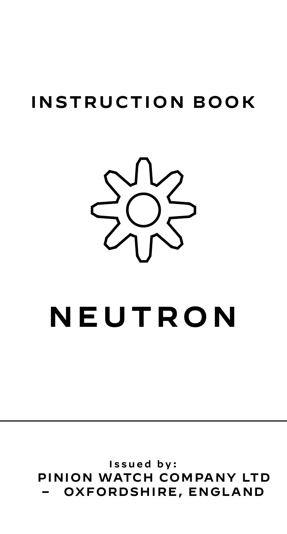# **INSTRUCTION BOOK**



# **NEUTRON**

Issued by: PINION WATCH COMPANY LTD OXFORDSHIRE, ENGLAND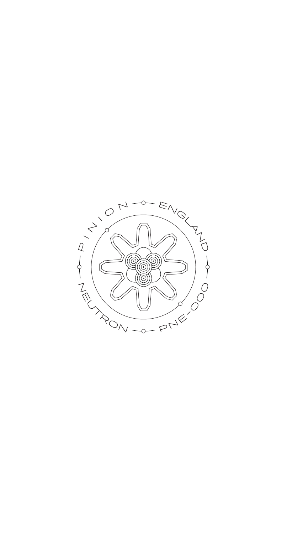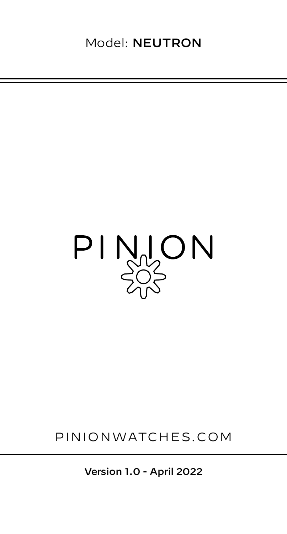

# PINIONWATCHES.COM

Version 1.0 - April 2022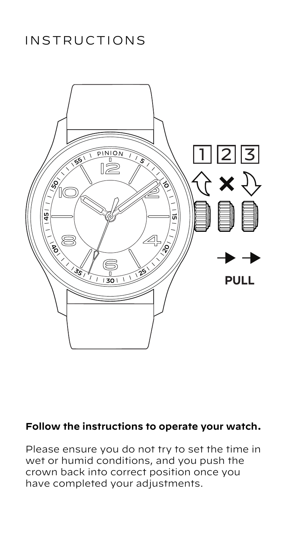# INSTRUCTIONS



### **Follow the instructions to operate your watch.**

Please ensure you do not try to set the time in wet or humid conditions, and you push the crown back into correct position once you have completed your adjustments.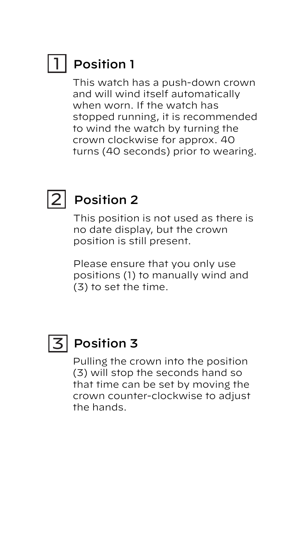#### Position 1 1

This watch has a push-down crown and will wind itself automatically when worn. If the watch has stopped running, it is recommended to wind the watch by turning the crown clockwise for approx. 40 turns (40 seconds) prior to wearing.



# 2 Position 2

This position is not used as there is no date display, but the crown position is still present.

Please ensure that you only use positions (1) to manually wind and (3) to set the time.



# $\overline{\mathsf{3}}$  Position 3

Pulling the crown into the position (3) will stop the seconds hand so that time can be set by moving the crown counter-clockwise to adjust the hands.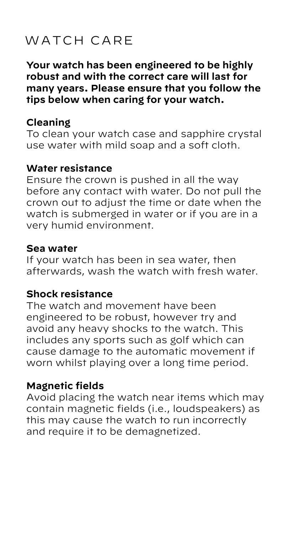# WATCH CARE

**Your watch has been engineered to be highly robust and with the correct care will last for many years. Please ensure that you follow the tips below when caring for your watch.**

#### **Cleaning**

To clean your watch case and sapphire crystal use water with mild soap and a soft cloth.

#### **Water resistance**

Ensure the crown is pushed in all the way before any contact with water. Do not pull the crown out to adjust the time or date when the watch is submerged in water or if you are in a very humid environment.

#### **Sea water**

If your watch has been in sea water, then afterwards, wash the watch with fresh water.

#### **Shock resistance**

The watch and movement have been engineered to be robust, however try and avoid any heavy shocks to the watch. This includes any sports such as golf which can cause damage to the automatic movement if worn whilst playing over a long time period.

#### **Magnetic fields**

Avoid placing the watch near items which may contain magnetic fields (i.e., loudspeakers) as this may cause the watch to run incorrectly and require it to be demagnetized.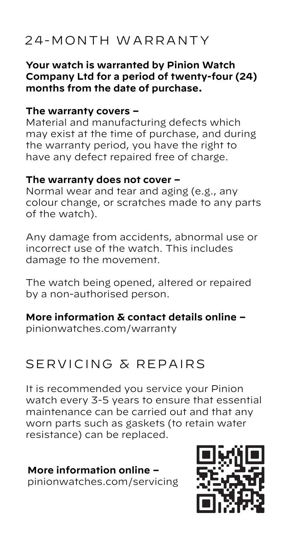# 24-MONTH WARRANTY

**Your watch is warranted by Pinion Watch Company Ltd for a period of twenty-four (24) months from the date of purchase.**

#### **The warranty covers –**

Material and manufacturing defects which may exist at the time of purchase, and during the warranty period, you have the right to have any defect repaired free of charge.

#### **The warranty does not cover –**

Normal wear and tear and aging (e.g., any colour change, or scratches made to any parts of the watch).

Any damage from accidents, abnormal use or incorrect use of the watch. This includes damage to the movement.

The watch being opened, altered or repaired by a non-authorised person.

**More information & contact details online –**

pinionwatches.com/warranty

# SERVICING & REPAIRS

It is recommended you service your Pinion watch every 3-5 years to ensure that essential maintenance can be carried out and that any worn parts such as gaskets (to retain water resistance) can be replaced.

### **More information online –**

pinionwatches.com/servicing

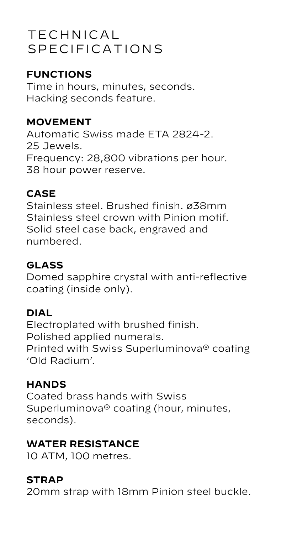# TECHNICAL SPECIFICATIONS

### **FUNCTIONS**

Time in hours, minutes, seconds. Hacking seconds feature.

### **MOVEMENT**

Automatic Swiss made ETA 2824-2. 25 Jewels. Frequency: 28,800 vibrations per hour. 38 hour power reserve.

### **CASE**

Stainless steel. Brushed finish. ø38mm Stainless steel crown with Pinion motif. Solid steel case back, engraved and numbered.

## **GLASS**

Domed sapphire crystal with anti-reflective coating (inside only).

### **DIAL**

Electroplated with brushed finish. Polished applied numerals. Printed with Swiss Superluminova® coating 'Old Radium'.

### **HANDS**

Coated brass hands with Swiss Superluminova® coating (hour, minutes, seconds).

### **WATER RESISTANCE**

10 ATM, 100 metres.

### **STRAP**

20mm strap with 18mm Pinion steel buckle.